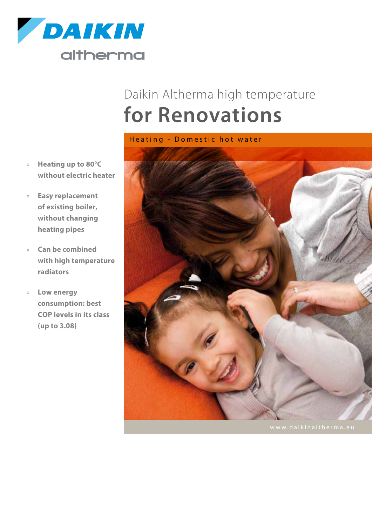

## Daikin Altherma high temperature **for Renovations**

Heating - Domestic hot water

- » **Heating up to 80°C without electric heater**
- » **Easy replacement of existing boiler, without changing heating pipes**
- » **Can be combined with high temperature radiators**
- » **Low energy consumption: best COP levels in its class (up to 3.08)**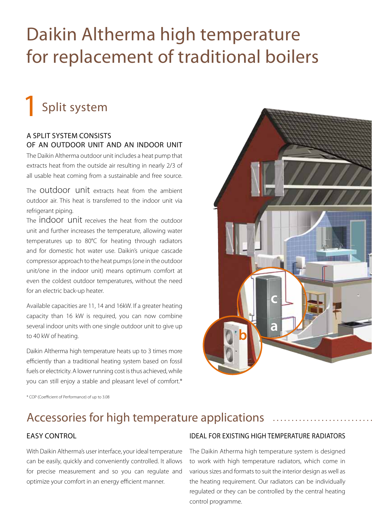# Daikin Altherma high temperature for replacement of traditional boilers

## Split system 1

### A split system consists of an outdoor unit and an indoor unit

The Daikin Altherma outdoor unit includes a heat pump that extracts heat from the outside air resulting in nearly 2/3 of all usable heat coming from a sustainable and free source.

The outdoor unit extracts heat from the ambient outdoor air. This heat is transferred to the indoor unit via refrigerant piping.

The indoor unit receives the heat from the outdoor unit and further increases the temperature, allowing water temperatures up to 80°C for heating through radiators and for domestic hot water use. Daikin's unique cascade compressor approach to the heat pumps (one in the outdoor unit/one in the indoor unit) means optimum comfort at even the coldest outdoor temperatures, without the need for an electric back-up heater.

Available capacities are 11, 14 and 16kW. If a greater heating capacity than 16 kW is required, you can now combine several indoor units with one single outdoor unit to give up to 40 kW of heating.

Daikin Altherma high temperature heats up to 3 times more efficiently than a traditional heating system based on fossil fuels or electricity. A lower running cost is thus achieved, while you can still enjoy a stable and pleasant level of comfort.\*



\* COP (Coefficient of Performance) of up to 3.08

## Accessories for high temperature applications

### **EASY CONTROL**

With Daikin Altherma's user interface, your ideal temperature can be easily, quickly and conveniently controlled. It allows for precise measurement and so you can regulate and optimize your comfort in an energy efficient manner.

### Ideal for existing high temperature radiators

The Daikin Atherma high temperature system is designed to work with high temperature radiators, which come in various sizes and formats to suit the interior design as well as the heating requirement. Our radiators can be individually regulated or they can be controlled by the central heating control programme.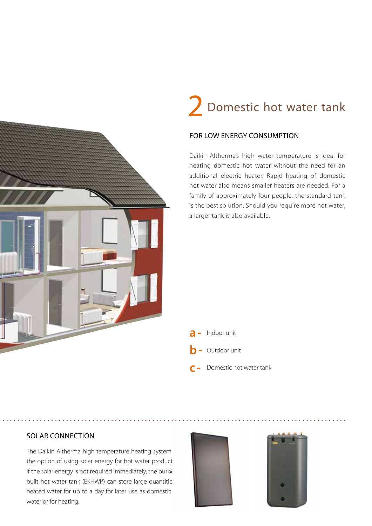# 2 Domestic hot water tank

### for low energy consumption

Daikin Altherma's high water temperature is ideal for heating domestic hot water without the need for an additional electric heater. Rapid heating of domestic hot water also means smaller heaters are needed. For a family of approximately four people, the standard tank is the best solution. Should you require more hot water, a larger tank is also available.

- **a-**Indoor unit **b-**Outdoor unit
- **c** Domestic hot water tank

### solar connection

The Daikin Altherma high temperature heating system the option of using solar energy for hot water product If the solar energy is not required immediately, the purpose built hot water tank (EKHWP) can store large quantitie heated water for up to a day for later use as domestic water or for heating.